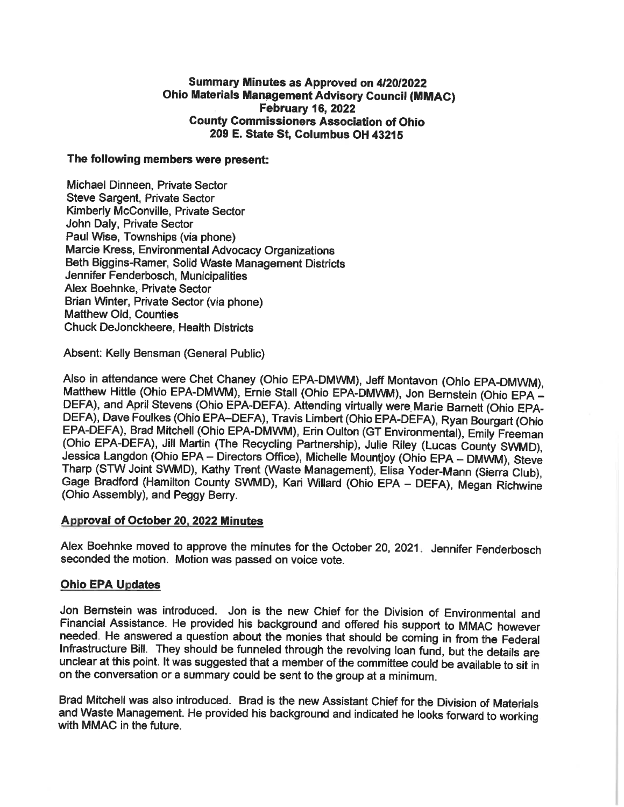# Summary Minutes as Approved on 4/20/2022 **Ohio Materials Management Advisory Council (MMAC) February 16, 2022 County Commissioners Association of Ohio** 209 E. State St, Columbus OH 43215

### The following members were present:

Michael Dinneen, Private Sector **Steve Sargent, Private Sector** Kimberly McConville, Private Sector John Daly, Private Sector Paul Wise. Townships (via phone) Marcie Kress, Environmental Advocacy Organizations Beth Biggins-Ramer, Solid Waste Management Districts Jennifer Fenderbosch, Municipalities Alex Boehnke. Private Sector Brian Winter, Private Sector (via phone) Matthew Old, Counties **Chuck DeJonckheere, Health Districts** 

Absent: Kelly Bensman (General Public)

Also in attendance were Chet Chaney (Ohio EPA-DMWM), Jeff Montavon (Ohio EPA-DMWM), Matthew Hittle (Ohio EPA-DMWM), Ernie Stall (Ohio EPA-DMWM), Jon Bernstein (Ohio EPA -DEFA), and April Stevens (Ohio EPA-DEFA). Attending virtually were Marie Barnett (Ohio EPA-DEFA), Dave Foulkes (Ohio EPA-DEFA), Travis Limbert (Ohio EPA-DEFA), Ryan Bourgart (Ohio EPA-DEFA), Brad Mitchell (Ohio EPA-DMWM), Erin Oulton (GT Environmental), Emily Freeman (Ohio EPA-DEFA), Jill Martin (The Recycling Partnership), Julie Riley (Lucas County SWMD), Jessica Langdon (Ohio EPA - Directors Office), Michelle Mountjoy (Ohio EPA - DMWM), Steve Tharp (STW Joint SWMD), Kathy Trent (Waste Management), Elisa Yoder-Mann (Sierra Club), Gage Bradford (Hamilton County SWMD), Kari Willard (Ohio EPA - DEFA), Megan Richwine (Ohio Assembly), and Peggy Berry.

### **Approval of October 20, 2022 Minutes**

Alex Boehnke moved to approve the minutes for the October 20, 2021. Jennifer Fenderbosch seconded the motion. Motion was passed on voice vote.

### **Ohio EPA Updates**

Jon Bernstein was introduced. Jon is the new Chief for the Division of Environmental and Financial Assistance. He provided his background and offered his support to MMAC however needed. He answered a question about the monies that should be coming in from the Federal Infrastructure Bill. They should be funneled through the revolving loan fund, but the details are unclear at this point. It was suggested that a member of the committee could be available to sit in on the conversation or a summary could be sent to the group at a minimum.

Brad Mitchell was also introduced. Brad is the new Assistant Chief for the Division of Materials and Waste Management. He provided his background and indicated he looks forward to working with MMAC in the future.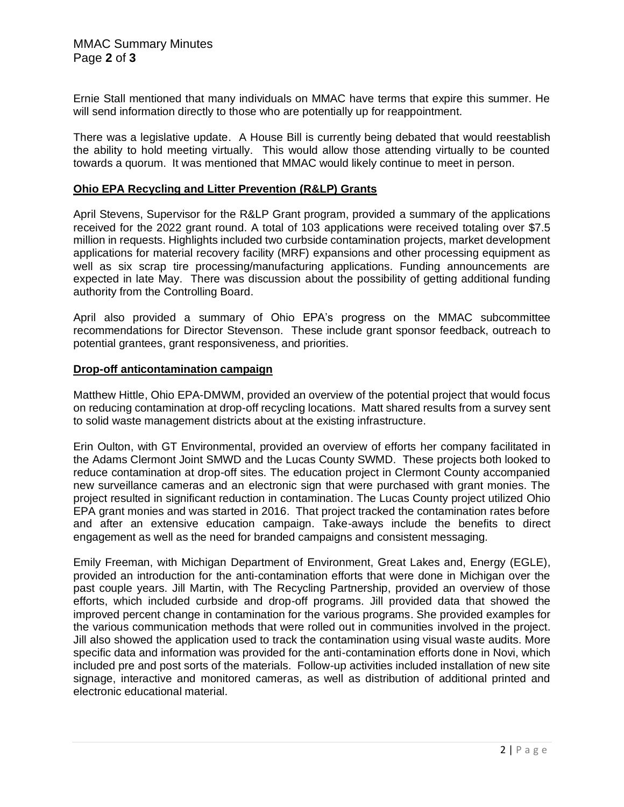Ernie Stall mentioned that many individuals on MMAC have terms that expire this summer. He will send information directly to those who are potentially up for reappointment.

There was a legislative update. A House Bill is currently being debated that would reestablish the ability to hold meeting virtually. This would allow those attending virtually to be counted towards a quorum. It was mentioned that MMAC would likely continue to meet in person.

# **Ohio EPA Recycling and Litter Prevention (R&LP) Grants**

April Stevens, Supervisor for the R&LP Grant program, provided a summary of the applications received for the 2022 grant round. A total of 103 applications were received totaling over \$7.5 million in requests. Highlights included two curbside contamination projects, market development applications for material recovery facility (MRF) expansions and other processing equipment as well as six scrap tire processing/manufacturing applications. Funding announcements are expected in late May. There was discussion about the possibility of getting additional funding authority from the Controlling Board.

April also provided a summary of Ohio EPA's progress on the MMAC subcommittee recommendations for Director Stevenson. These include grant sponsor feedback, outreach to potential grantees, grant responsiveness, and priorities.

# **Drop-off anticontamination campaign**

Matthew Hittle, Ohio EPA-DMWM, provided an overview of the potential project that would focus on reducing contamination at drop-off recycling locations. Matt shared results from a survey sent to solid waste management districts about at the existing infrastructure.

Erin Oulton, with GT Environmental, provided an overview of efforts her company facilitated in the Adams Clermont Joint SMWD and the Lucas County SWMD. These projects both looked to reduce contamination at drop-off sites. The education project in Clermont County accompanied new surveillance cameras and an electronic sign that were purchased with grant monies. The project resulted in significant reduction in contamination. The Lucas County project utilized Ohio EPA grant monies and was started in 2016. That project tracked the contamination rates before and after an extensive education campaign. Take-aways include the benefits to direct engagement as well as the need for branded campaigns and consistent messaging.

Emily Freeman, with Michigan Department of Environment, Great Lakes and, Energy (EGLE), provided an introduction for the anti-contamination efforts that were done in Michigan over the past couple years. Jill Martin, with The Recycling Partnership, provided an overview of those efforts, which included curbside and drop-off programs. Jill provided data that showed the improved percent change in contamination for the various programs. She provided examples for the various communication methods that were rolled out in communities involved in the project. Jill also showed the application used to track the contamination using visual waste audits. More specific data and information was provided for the anti-contamination efforts done in Novi, which included pre and post sorts of the materials. Follow-up activities included installation of new site signage, interactive and monitored cameras, as well as distribution of additional printed and electronic educational material.